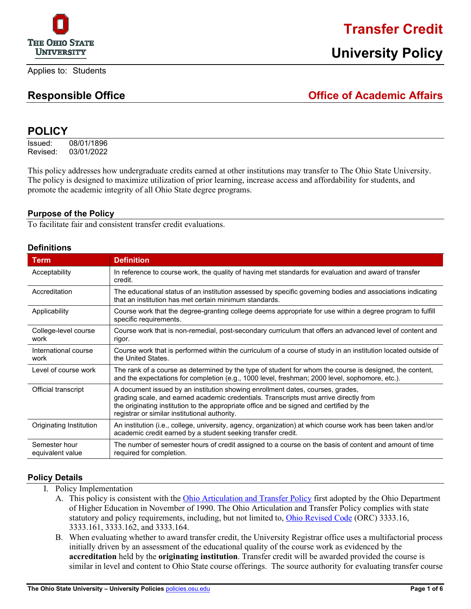

### **Transfer Credit**

#### **Responsible Office Office of Academic Affairs**

#### **POLICY**

Issued: 08/01/1896 Revised: 03/01/2022

This policy addresses how undergraduate credits earned at other institutions may transfer to The Ohio State University. The policy is designed to maximize utilization of prior learning, increase access and affordability for students, and promote the academic integrity of all Ohio State degree programs.

#### **Purpose of the Policy**

To facilitate fair and consistent transfer credit evaluations.

#### **Definitions**

| <b>Term</b>                       | <b>Definition</b>                                                                                                                                                                                                                                                                                                    |
|-----------------------------------|----------------------------------------------------------------------------------------------------------------------------------------------------------------------------------------------------------------------------------------------------------------------------------------------------------------------|
| Acceptability                     | In reference to course work, the quality of having met standards for evaluation and award of transfer<br>credit.                                                                                                                                                                                                     |
| Accreditation                     | The educational status of an institution assessed by specific governing bodies and associations indicating<br>that an institution has met certain minimum standards.                                                                                                                                                 |
| Applicability                     | Course work that the degree-granting college deems appropriate for use within a degree program to fulfill<br>specific requirements.                                                                                                                                                                                  |
| College-level course<br>work      | Course work that is non-remedial, post-secondary curriculum that offers an advanced level of content and<br>rigor.                                                                                                                                                                                                   |
| International course<br>work      | Course work that is performed within the curriculum of a course of study in an institution located outside of<br>the United States.                                                                                                                                                                                  |
| Level of course work              | The rank of a course as determined by the type of student for whom the course is designed, the content,<br>and the expectations for completion (e.g., 1000 level, freshman; 2000 level, sophomore, etc.).                                                                                                            |
| Official transcript               | A document issued by an institution showing enrollment dates, courses, grades,<br>grading scale, and earned academic credentials. Transcripts must arrive directly from<br>the originating institution to the appropriate office and be signed and certified by the<br>registrar or similar institutional authority. |
| Originating Institution           | An institution (i.e., college, university, agency, organization) at which course work has been taken and/or<br>academic credit earned by a student seeking transfer credit.                                                                                                                                          |
| Semester hour<br>equivalent value | The number of semester hours of credit assigned to a course on the basis of content and amount of time<br>required for completion.                                                                                                                                                                                   |

#### **Policy Details**

- I. Policy Implementation
	- A. This policy is consistent with the [Ohio Articulation and Transfer Policy](https://www.ohiohighered.org/transfer/policy/overview) first adopted by the Ohio Department of Higher Education in November of 1990. The Ohio Articulation and Transfer Policy complies with state statutory and policy requirements, including, but not limited to[, Ohio Revised Code](https://codes.ohio.gov/ohio-revised-code/chapter-3333) (ORC) 3333.16, 3333.161, 3333.162, and 3333.164.
	- B. When evaluating whether to award transfer credit, the University Registrar office uses a multifactorial process initially driven by an assessment of the educational quality of the course work as evidenced by the **accreditation** held by the **originating institution**. Transfer credit will be awarded provided the course is similar in level and content to Ohio State course offerings. The source authority for evaluating transfer course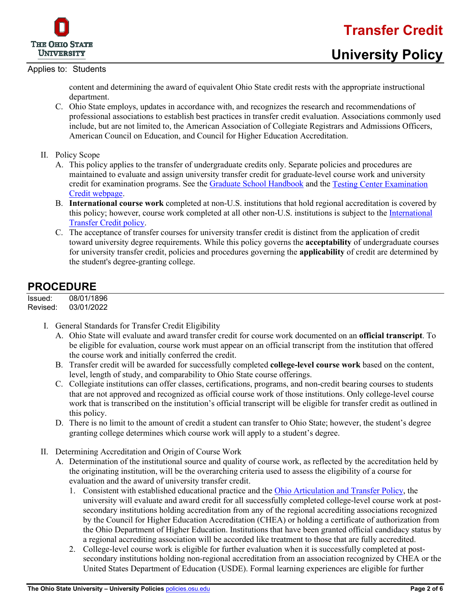

## **Transfer Credit**

#### Applies to: Students

content and determining the award of equivalent Ohio State credit rests with the appropriate instructional department.

- C. Ohio State employs, updates in accordance with, and recognizes the research and recommendations of professional associations to establish best practices in transfer credit evaluation. Associations commonly used include, but are not limited to, the American Association of Collegiate Registrars and Admissions Officers, American Council on Education, and Council for Higher Education Accreditation.
- II. Policy Scope
	- A. This policy applies to the transfer of undergraduate credits only. Separate policies and procedures are maintained to evaluate and assign university transfer credit for graduate-level course work and university credit for examination programs. See the [Graduate School Handbook](https://gradsch.osu.edu/handbook) and the [Testing Center Examination](https://registrar.osu.edu/priorlearning/examination-credit.html)  [Credit webpage.](https://registrar.osu.edu/priorlearning/examination-credit.html)
	- B. **International course work** completed at non-U.S. institutions that hold regional accreditation is covered by this policy; however, course work completed at all other non-U.S. institutions is subject to the [International](https://go.osu.edu/intl-transfer-credit-policy)  [Transfer Credit policy.](https://go.osu.edu/intl-transfer-credit-policy)
	- C. The acceptance of transfer courses for university transfer credit is distinct from the application of credit toward university degree requirements. While this policy governs the **acceptability** of undergraduate courses for university transfer credit, policies and procedures governing the **applicability** of credit are determined by the student's degree-granting college.

### **PROCEDURE**

Issued: 08/01/1896<br>Revised: 03/01/2022 03/01/2022

- I. General Standards for Transfer Credit Eligibility
	- A. Ohio State will evaluate and award transfer credit for course work documented on an **official transcript**. To be eligible for evaluation, course work must appear on an official transcript from the institution that offered the course work and initially conferred the credit.
	- B. Transfer credit will be awarded for successfully completed **college-level course work** based on the content, level, length of study, and comparability to Ohio State course offerings.
	- C. Collegiate institutions can offer classes, certifications, programs, and non-credit bearing courses to students that are not approved and recognized as official course work of those institutions. Only college-level course work that is transcribed on the institution's official transcript will be eligible for transfer credit as outlined in this policy.
	- D. There is no limit to the amount of credit a student can transfer to Ohio State; however, the student's degree granting college determines which course work will apply to a student's degree.
- II. Determining Accreditation and Origin of Course Work
	- A. Determination of the institutional source and quality of course work, as reflected by the accreditation held by the originating institution, will be the overarching criteria used to assess the eligibility of a course for evaluation and the award of university transfer credit.
		- 1. Consistent with established educational practice and the [Ohio Articulation and Transfer Policy,](https://www.ohiohighered.org/transfer/policy/overview) the university will evaluate and award credit for all successfully completed college-level course work at postsecondary institutions holding accreditation from any of the regional accrediting associations recognized by the Council for Higher Education Accreditation (CHEA) or holding a certificate of authorization from the Ohio Department of Higher Education. Institutions that have been granted official candidacy status by a regional accrediting association will be accorded like treatment to those that are fully accredited.
		- 2. College-level course work is eligible for further evaluation when it is successfully completed at postsecondary institutions holding non-regional accreditation from an association recognized by CHEA or the United States Department of Education (USDE). Formal learning experiences are eligible for further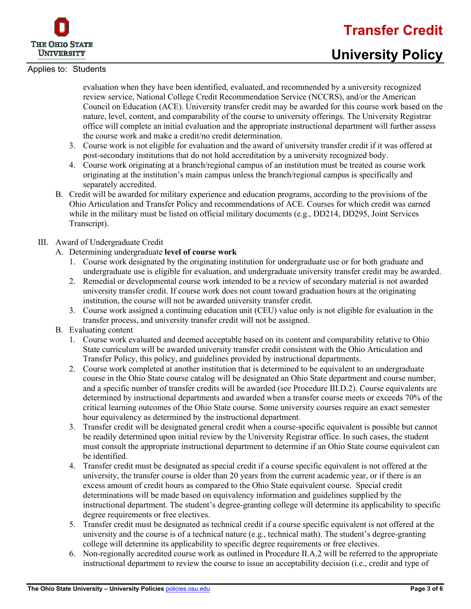

### **University Policy**

evaluation when they have been identified, evaluated, and recommended by a university recognized review service, National College Credit Recommendation Service (NCCRS), and/or the American Council on Education (ACE). University transfer credit may be awarded for this course work based on the nature, level, content, and comparability of the course to university offerings. The University Registrar office will complete an initial evaluation and the appropriate instructional department will further assess the course work and make a credit/no credit determination.

- 3. Course work is not eligible for evaluation and the award of university transfer credit if it was offered at post-secondary institutions that do not hold accreditation by a university recognized body.
- 4. Course work originating at a branch/regional campus of an institution must be treated as course work originating at the institution's main campus unless the branch/regional campus is specifically and separately accredited.
- B. Credit will be awarded for military experience and education programs, according to the provisions of the Ohio Articulation and Transfer Policy and recommendations of ACE. Courses for which credit was earned while in the military must be listed on official military documents (e.g., DD214, DD295, Joint Services Transcript).

#### III. Award of Undergraduate Credit

- A. Determining undergraduate **level of course work**
	- 1. Course work designated by the originating institution for undergraduate use or for both graduate and undergraduate use is eligible for evaluation, and undergraduate university transfer credit may be awarded.
	- 2. Remedial or developmental course work intended to be a review of secondary material is not awarded university transfer credit. If course work does not count toward graduation hours at the originating institution, the course will not be awarded university transfer credit.
	- 3. Course work assigned a continuing education unit (CEU) value only is not eligible for evaluation in the transfer process, and university transfer credit will not be assigned.

#### B. Evaluating content

- 1. Course work evaluated and deemed acceptable based on its content and comparability relative to Ohio State curriculum will be awarded university transfer credit consistent with the Ohio Articulation and Transfer Policy, this policy, and guidelines provided by instructional departments.
- 2. Course work completed at another institution that is determined to be equivalent to an undergraduate course in the Ohio State course catalog will be designated an Ohio State department and course number, and a specific number of transfer credits will be awarded (see Procedure III.D.2). Course equivalents are determined by instructional departments and awarded when a transfer course meets or exceeds 70% of the critical learning outcomes of the Ohio State course. Some university courses require an exact semester hour equivalency as determined by the instructional department.
- 3. Transfer credit will be designated general credit when a course-specific equivalent is possible but cannot be readily determined upon initial review by the University Registrar office. In such cases, the student must consult the appropriate instructional department to determine if an Ohio State course equivalent can be identified.
- 4. Transfer credit must be designated as special credit if a course specific equivalent is not offered at the university, the transfer course is older than 20 years from the current academic year, or if there is an excess amount of credit hours as compared to the Ohio State equivalent course. Special credit determinations will be made based on equivalency information and guidelines supplied by the instructional department. The student's degree-granting college will determine its applicability to specific degree requirements or free electives.
- 5. Transfer credit must be designated as technical credit if a course specific equivalent is not offered at the university and the course is of a technical nature (e.g., technical math). The student's degree-granting college will determine its applicability to specific degree requirements or free electives.
- 6. Non-regionally accredited course work as outlined in Procedure II.A.2 will be referred to the appropriate instructional department to review the course to issue an acceptability decision (i.e., credit and type of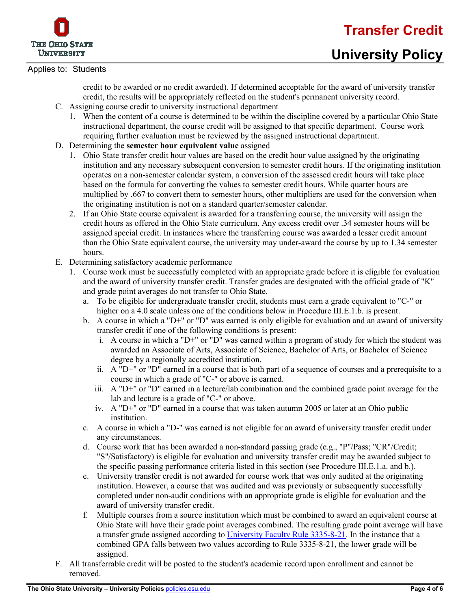



# **University Policy**

#### Applies to: Students

credit to be awarded or no credit awarded). If determined acceptable for the award of university transfer credit, the results will be appropriately reflected on the student's permanent university record.

- C. Assigning course credit to university instructional department
	- 1. When the content of a course is determined to be within the discipline covered by a particular Ohio State instructional department, the course credit will be assigned to that specific department. Course work requiring further evaluation must be reviewed by the assigned instructional department.
- D. Determining the **semester hour equivalent value** assigned
	- 1. Ohio State transfer credit hour values are based on the credit hour value assigned by the originating institution and any necessary subsequent conversion to semester credit hours. If the originating institution operates on a non-semester calendar system, a conversion of the assessed credit hours will take place based on the formula for converting the values to semester credit hours. While quarter hours are multiplied by .667 to convert them to semester hours, other multipliers are used for the conversion when the originating institution is not on a standard quarter/semester calendar.
	- 2. If an Ohio State course equivalent is awarded for a transferring course, the university will assign the credit hours as offered in the Ohio State curriculum. Any excess credit over .34 semester hours will be assigned special credit. In instances where the transferring course was awarded a lesser credit amount than the Ohio State equivalent course, the university may under-award the course by up to 1.34 semester hours.
- E. Determining satisfactory academic performance
	- 1. Course work must be successfully completed with an appropriate grade before it is eligible for evaluation and the award of university transfer credit. Transfer grades are designated with the official grade of "K" and grade point averages do not transfer to Ohio State.
		- a. To be eligible for undergraduate transfer credit, students must earn a grade equivalent to "C-" or higher on a 4.0 scale unless one of the conditions below in Procedure III.E.1.b. is present.
		- b. A course in which a "D+" or "D" was earned is only eligible for evaluation and an award of university transfer credit if one of the following conditions is present:
			- i. A course in which a "D+" or "D" was earned within a program of study for which the student was awarded an Associate of Arts, Associate of Science, Bachelor of Arts, or Bachelor of Science degree by a regionally accredited institution.
			- ii. A "D+" or "D" earned in a course that is both part of a sequence of courses and a prerequisite to a course in which a grade of "C-" or above is earned.
			- iii. A "D+" or "D" earned in a lecture/lab combination and the combined grade point average for the lab and lecture is a grade of "C-" or above.
			- iv. A "D+" or "D" earned in a course that was taken autumn 2005 or later at an Ohio public institution.
		- c. A course in which a "D-" was earned is not eligible for an award of university transfer credit under any circumstances.
		- d. Course work that has been awarded a non-standard passing grade (e.g., "P"/Pass; "CR"/Credit; "S"/Satisfactory) is eligible for evaluation and university transfer credit may be awarded subject to the specific passing performance criteria listed in this section (see Procedure III.E.1.a. and b.).
		- e. University transfer credit is not awarded for course work that was only audited at the originating institution. However, a course that was audited and was previously or subsequently successfully completed under non-audit conditions with an appropriate grade is eligible for evaluation and the award of university transfer credit.
		- f. Multiple courses from a source institution which must be combined to award an equivalent course at Ohio State will have their grade point averages combined. The resulting grade point average will have a transfer grade assigned according to [University Faculty Rule 3335-8-21.](https://trustees.osu.edu/bylaws-and-rules/3335-8) In the instance that a combined GPA falls between two values according to Rule 3335-8-21, the lower grade will be assigned.
- F. All transferrable credit will be posted to the student's academic record upon enrollment and cannot be removed.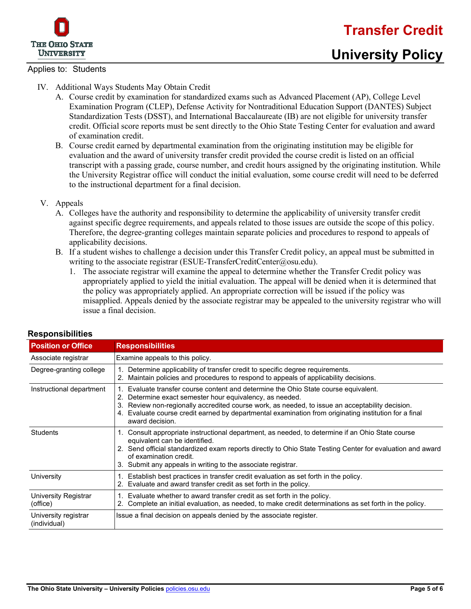

### **University Policy**

- IV. Additional Ways Students May Obtain Credit
	- A. Course credit by examination for standardized exams such as Advanced Placement (AP), College Level Examination Program (CLEP), Defense Activity for Nontraditional Education Support (DANTES) Subject Standardization Tests (DSST), and International Baccalaureate (IB) are not eligible for university transfer credit. Official score reports must be sent directly to the Ohio State Testing Center for evaluation and award of examination credit.
	- B. Course credit earned by departmental examination from the originating institution may be eligible for evaluation and the award of university transfer credit provided the course credit is listed on an official transcript with a passing grade, course number, and credit hours assigned by the originating institution. While the University Registrar office will conduct the initial evaluation, some course credit will need to be deferred to the instructional department for a final decision.
- V. Appeals
	- A. Colleges have the authority and responsibility to determine the applicability of university transfer credit against specific degree requirements, and appeals related to those issues are outside the scope of this policy. Therefore, the degree-granting colleges maintain separate policies and procedures to respond to appeals of applicability decisions.
	- B. If a student wishes to challenge a decision under this Transfer Credit policy, an appeal must be submitted in writing to the associate registrar (ESUE-TransferCreditCenter@osu.edu).
		- 1. The associate registrar will examine the appeal to determine whether the Transfer Credit policy was appropriately applied to yield the initial evaluation. The appeal will be denied when it is determined that the policy was appropriately applied. An appropriate correction will be issued if the policy was misapplied. Appeals denied by the associate registrar may be appealed to the university registrar who will issue a final decision.

| <b>Position or Office</b>            | <b>Responsibilities</b>                                                                                                                                                                                                                                                                                                                                                     |  |  |  |  |
|--------------------------------------|-----------------------------------------------------------------------------------------------------------------------------------------------------------------------------------------------------------------------------------------------------------------------------------------------------------------------------------------------------------------------------|--|--|--|--|
| Associate registrar                  | Examine appeals to this policy.                                                                                                                                                                                                                                                                                                                                             |  |  |  |  |
| Degree-granting college              | Determine applicability of transfer credit to specific degree requirements.<br>Maintain policies and procedures to respond to appeals of applicability decisions.<br>2.                                                                                                                                                                                                     |  |  |  |  |
| Instructional department             | Evaluate transfer course content and determine the Ohio State course equivalent.<br>Determine exact semester hour equivalency, as needed.<br>Review non-regionally accredited course work, as needed, to issue an acceptability decision.<br>3.<br>4. Evaluate course credit earned by departmental examination from originating institution for a final<br>award decision. |  |  |  |  |
| Students                             | 1. Consult appropriate instructional department, as needed, to determine if an Ohio State course<br>equivalent can be identified.<br>2. Send official standardized exam reports directly to Ohio State Testing Center for evaluation and award<br>of examination credit.<br>3. Submit any appeals in writing to the associate registrar.                                    |  |  |  |  |
| University                           | Establish best practices in transfer credit evaluation as set forth in the policy.<br>2. Evaluate and award transfer credit as set forth in the policy.                                                                                                                                                                                                                     |  |  |  |  |
| University Registrar<br>(office)     | Evaluate whether to award transfer credit as set forth in the policy.<br>2. Complete an initial evaluation, as needed, to make credit determinations as set forth in the policy.                                                                                                                                                                                            |  |  |  |  |
| University registrar<br>(individual) | Issue a final decision on appeals denied by the associate register.                                                                                                                                                                                                                                                                                                         |  |  |  |  |

#### **Responsibilities**